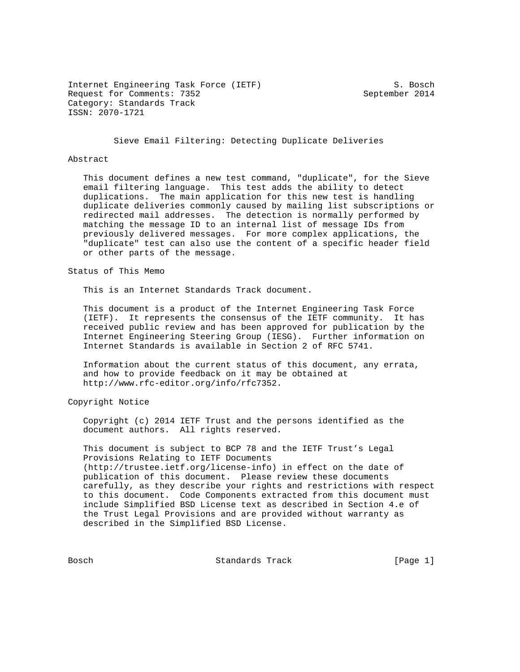Internet Engineering Task Force (IETF) S. Bosch Request for Comments: 7352 September 2014 Category: Standards Track ISSN: 2070-1721

Sieve Email Filtering: Detecting Duplicate Deliveries

## Abstract

 This document defines a new test command, "duplicate", for the Sieve email filtering language. This test adds the ability to detect duplications. The main application for this new test is handling duplicate deliveries commonly caused by mailing list subscriptions or redirected mail addresses. The detection is normally performed by matching the message ID to an internal list of message IDs from previously delivered messages. For more complex applications, the "duplicate" test can also use the content of a specific header field or other parts of the message.

Status of This Memo

This is an Internet Standards Track document.

 This document is a product of the Internet Engineering Task Force (IETF). It represents the consensus of the IETF community. It has received public review and has been approved for publication by the Internet Engineering Steering Group (IESG). Further information on Internet Standards is available in Section 2 of RFC 5741.

 Information about the current status of this document, any errata, and how to provide feedback on it may be obtained at http://www.rfc-editor.org/info/rfc7352.

Copyright Notice

 Copyright (c) 2014 IETF Trust and the persons identified as the document authors. All rights reserved.

 This document is subject to BCP 78 and the IETF Trust's Legal Provisions Relating to IETF Documents (http://trustee.ietf.org/license-info) in effect on the date of publication of this document. Please review these documents carefully, as they describe your rights and restrictions with respect to this document. Code Components extracted from this document must include Simplified BSD License text as described in Section 4.e of the Trust Legal Provisions and are provided without warranty as described in the Simplified BSD License.

Bosch Standards Track [Page 1]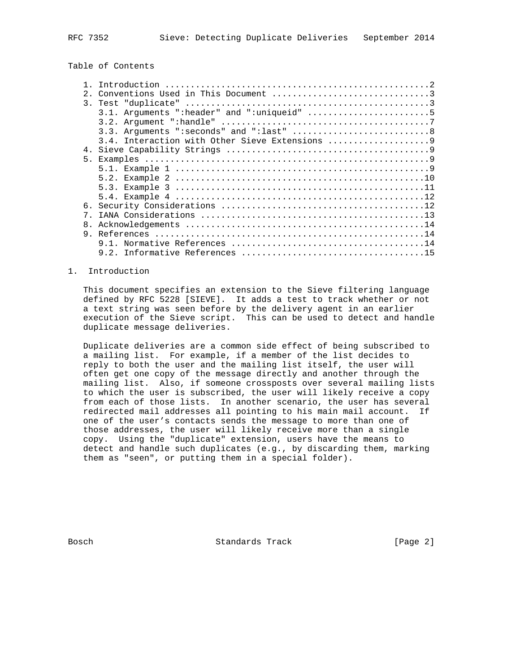## Table of Contents

|                | Introduction                                 |
|----------------|----------------------------------------------|
| 2.             |                                              |
|                |                                              |
|                | 3.1. Arguments ": header" and ": uniqueid" 5 |
|                |                                              |
|                |                                              |
|                |                                              |
| 4.             |                                              |
| 5 <sub>1</sub> |                                              |
|                |                                              |
|                |                                              |
|                |                                              |
|                |                                              |
|                |                                              |
|                |                                              |
| 8.             |                                              |
| 9              |                                              |
|                |                                              |
|                |                                              |
|                |                                              |

## 1. Introduction

 This document specifies an extension to the Sieve filtering language defined by RFC 5228 [SIEVE]. It adds a test to track whether or not a text string was seen before by the delivery agent in an earlier execution of the Sieve script. This can be used to detect and handle duplicate message deliveries.

 Duplicate deliveries are a common side effect of being subscribed to a mailing list. For example, if a member of the list decides to reply to both the user and the mailing list itself, the user will often get one copy of the message directly and another through the mailing list. Also, if someone crossposts over several mailing lists to which the user is subscribed, the user will likely receive a copy from each of those lists. In another scenario, the user has several redirected mail addresses all pointing to his main mail account. If one of the user's contacts sends the message to more than one of those addresses, the user will likely receive more than a single copy. Using the "duplicate" extension, users have the means to detect and handle such duplicates (e.g., by discarding them, marking them as "seen", or putting them in a special folder).

Bosch Standards Track [Page 2]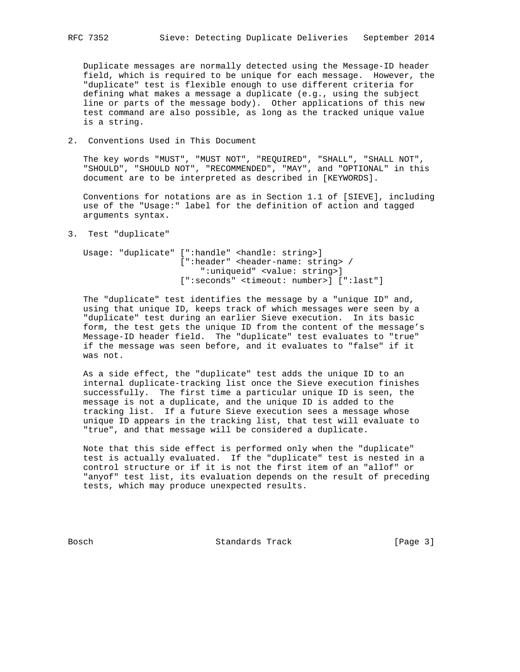Duplicate messages are normally detected using the Message-ID header field, which is required to be unique for each message. However, the "duplicate" test is flexible enough to use different criteria for defining what makes a message a duplicate (e.g., using the subject line or parts of the message body). Other applications of this new test command are also possible, as long as the tracked unique value is a string.

2. Conventions Used in This Document

 The key words "MUST", "MUST NOT", "REQUIRED", "SHALL", "SHALL NOT", "SHOULD", "SHOULD NOT", "RECOMMENDED", "MAY", and "OPTIONAL" in this document are to be interpreted as described in [KEYWORDS].

 Conventions for notations are as in Section 1.1 of [SIEVE], including use of the "Usage:" label for the definition of action and tagged arguments syntax.

3. Test "duplicate"

 Usage: "duplicate" [":handle" <handle: string>] [":header" <header-name: string> / ":uniqueid" <value: string>] [":seconds" <timeout: number>] [":last"]

 The "duplicate" test identifies the message by a "unique ID" and, using that unique ID, keeps track of which messages were seen by a "duplicate" test during an earlier Sieve execution. In its basic form, the test gets the unique ID from the content of the message's Message-ID header field. The "duplicate" test evaluates to "true" if the message was seen before, and it evaluates to "false" if it was not.

 As a side effect, the "duplicate" test adds the unique ID to an internal duplicate-tracking list once the Sieve execution finishes successfully. The first time a particular unique ID is seen, the message is not a duplicate, and the unique ID is added to the tracking list. If a future Sieve execution sees a message whose unique ID appears in the tracking list, that test will evaluate to "true", and that message will be considered a duplicate.

 Note that this side effect is performed only when the "duplicate" test is actually evaluated. If the "duplicate" test is nested in a control structure or if it is not the first item of an "allof" or "anyof" test list, its evaluation depends on the result of preceding tests, which may produce unexpected results.

Bosch Standards Track [Page 3]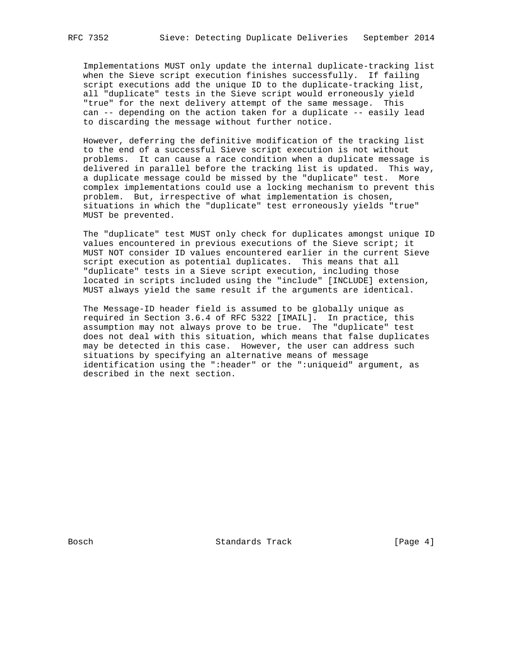Implementations MUST only update the internal duplicate-tracking list when the Sieve script execution finishes successfully. If failing script executions add the unique ID to the duplicate-tracking list, all "duplicate" tests in the Sieve script would erroneously yield "true" for the next delivery attempt of the same message. This can -- depending on the action taken for a duplicate -- easily lead to discarding the message without further notice.

 However, deferring the definitive modification of the tracking list to the end of a successful Sieve script execution is not without problems. It can cause a race condition when a duplicate message is delivered in parallel before the tracking list is updated. This way, a duplicate message could be missed by the "duplicate" test. More complex implementations could use a locking mechanism to prevent this problem. But, irrespective of what implementation is chosen, situations in which the "duplicate" test erroneously yields "true" MUST be prevented.

 The "duplicate" test MUST only check for duplicates amongst unique ID values encountered in previous executions of the Sieve script; it MUST NOT consider ID values encountered earlier in the current Sieve script execution as potential duplicates. This means that all "duplicate" tests in a Sieve script execution, including those located in scripts included using the "include" [INCLUDE] extension, MUST always yield the same result if the arguments are identical.

 The Message-ID header field is assumed to be globally unique as required in Section 3.6.4 of RFC 5322 [IMAIL]. In practice, this assumption may not always prove to be true. The "duplicate" test does not deal with this situation, which means that false duplicates may be detected in this case. However, the user can address such situations by specifying an alternative means of message identification using the ":header" or the ":uniqueid" argument, as described in the next section.

Bosch Standards Track [Page 4]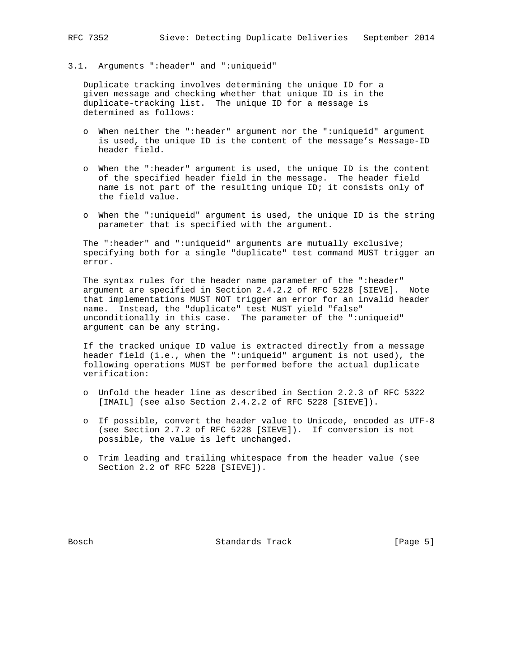## 3.1. Arguments ":header" and ":uniqueid"

 Duplicate tracking involves determining the unique ID for a given message and checking whether that unique ID is in the duplicate-tracking list. The unique ID for a message is determined as follows:

- o When neither the ":header" argument nor the ":uniqueid" argument is used, the unique ID is the content of the message's Message-ID header field.
- o When the ":header" argument is used, the unique ID is the content of the specified header field in the message. The header field name is not part of the resulting unique ID; it consists only of the field value.
- o When the ":uniqueid" argument is used, the unique ID is the string parameter that is specified with the argument.

 The ":header" and ":uniqueid" arguments are mutually exclusive; specifying both for a single "duplicate" test command MUST trigger an error.

The syntax rules for the header name parameter of the ":header" argument are specified in Section 2.4.2.2 of RFC 5228 [SIEVE]. Note that implementations MUST NOT trigger an error for an invalid header name. Instead, the "duplicate" test MUST yield "false" unconditionally in this case. The parameter of the ":uniqueid" argument can be any string.

 If the tracked unique ID value is extracted directly from a message header field (i.e., when the ":uniqueid" argument is not used), the following operations MUST be performed before the actual duplicate verification:

- o Unfold the header line as described in Section 2.2.3 of RFC 5322 [IMAIL] (see also Section 2.4.2.2 of RFC 5228 [SIEVE]).
- o If possible, convert the header value to Unicode, encoded as UTF-8 (see Section 2.7.2 of RFC 5228 [SIEVE]). If conversion is not possible, the value is left unchanged.
- o Trim leading and trailing whitespace from the header value (see Section 2.2 of RFC 5228 [SIEVE]).

Bosch Standards Track [Page 5]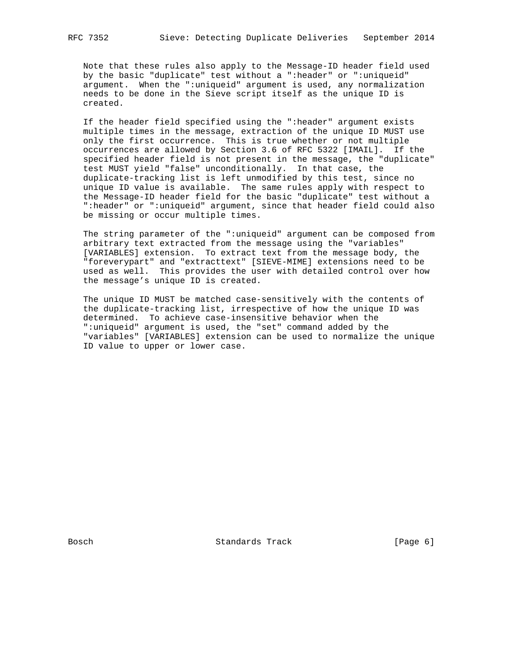Note that these rules also apply to the Message-ID header field used by the basic "duplicate" test without a ":header" or ":uniqueid" argument. When the ":uniqueid" argument is used, any normalization needs to be done in the Sieve script itself as the unique ID is created.

 If the header field specified using the ":header" argument exists multiple times in the message, extraction of the unique ID MUST use only the first occurrence. This is true whether or not multiple occurrences are allowed by Section 3.6 of RFC 5322 [IMAIL]. If the specified header field is not present in the message, the "duplicate" test MUST yield "false" unconditionally. In that case, the duplicate-tracking list is left unmodified by this test, since no unique ID value is available. The same rules apply with respect to the Message-ID header field for the basic "duplicate" test without a ":header" or ":uniqueid" argument, since that header field could also be missing or occur multiple times.

 The string parameter of the ":uniqueid" argument can be composed from arbitrary text extracted from the message using the "variables" [VARIABLES] extension. To extract text from the message body, the "foreverypart" and "extracttext" [SIEVE-MIME] extensions need to be used as well. This provides the user with detailed control over how the message's unique ID is created.

 The unique ID MUST be matched case-sensitively with the contents of the duplicate-tracking list, irrespective of how the unique ID was determined. To achieve case-insensitive behavior when the ":uniqueid" argument is used, the "set" command added by the "variables" [VARIABLES] extension can be used to normalize the unique ID value to upper or lower case.

Bosch Standards Track [Page 6]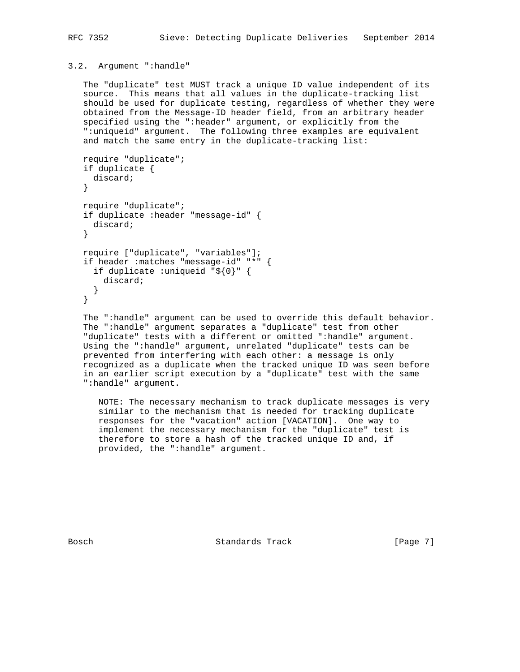## 3.2. Argument ":handle"

 The "duplicate" test MUST track a unique ID value independent of its source. This means that all values in the duplicate-tracking list should be used for duplicate testing, regardless of whether they were obtained from the Message-ID header field, from an arbitrary header specified using the ":header" argument, or explicitly from the ":uniqueid" argument. The following three examples are equivalent and match the same entry in the duplicate-tracking list:

```
 require "duplicate";
 if duplicate {
  discard;
 }
 require "duplicate";
 if duplicate :header "message-id" {
  discard;
 }
 require ["duplicate", "variables"];
 if header :matches "message-id" "*" {
   if duplicate :uniqueid "${0}" {
     discard;
   }
 }
```
 The ":handle" argument can be used to override this default behavior. The ":handle" argument separates a "duplicate" test from other "duplicate" tests with a different or omitted ":handle" argument. Using the ":handle" argument, unrelated "duplicate" tests can be prevented from interfering with each other: a message is only recognized as a duplicate when the tracked unique ID was seen before in an earlier script execution by a "duplicate" test with the same ":handle" argument.

 NOTE: The necessary mechanism to track duplicate messages is very similar to the mechanism that is needed for tracking duplicate responses for the "vacation" action [VACATION]. One way to implement the necessary mechanism for the "duplicate" test is therefore to store a hash of the tracked unique ID and, if provided, the ":handle" argument.

Bosch Standards Track [Page 7]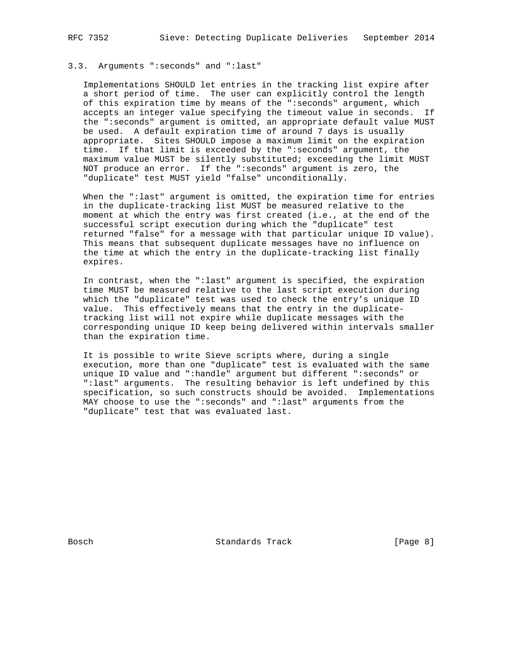## 3.3. Arguments ":seconds" and ":last"

 Implementations SHOULD let entries in the tracking list expire after a short period of time. The user can explicitly control the length of this expiration time by means of the ":seconds" argument, which accepts an integer value specifying the timeout value in seconds. If the ":seconds" argument is omitted, an appropriate default value MUST be used. A default expiration time of around 7 days is usually appropriate. Sites SHOULD impose a maximum limit on the expiration time. If that limit is exceeded by the ":seconds" argument, the maximum value MUST be silently substituted; exceeding the limit MUST NOT produce an error. If the ":seconds" argument is zero, the "duplicate" test MUST yield "false" unconditionally.

 When the ":last" argument is omitted, the expiration time for entries in the duplicate-tracking list MUST be measured relative to the moment at which the entry was first created (i.e., at the end of the successful script execution during which the "duplicate" test returned "false" for a message with that particular unique ID value). This means that subsequent duplicate messages have no influence on the time at which the entry in the duplicate-tracking list finally expires.

 In contrast, when the ":last" argument is specified, the expiration time MUST be measured relative to the last script execution during which the "duplicate" test was used to check the entry's unique ID value. This effectively means that the entry in the duplicate tracking list will not expire while duplicate messages with the corresponding unique ID keep being delivered within intervals smaller than the expiration time.

 It is possible to write Sieve scripts where, during a single execution, more than one "duplicate" test is evaluated with the same unique ID value and ":handle" argument but different ":seconds" or ":last" arguments. The resulting behavior is left undefined by this specification, so such constructs should be avoided. Implementations MAY choose to use the ":seconds" and ":last" arguments from the "duplicate" test that was evaluated last.

Bosch Standards Track [Page 8]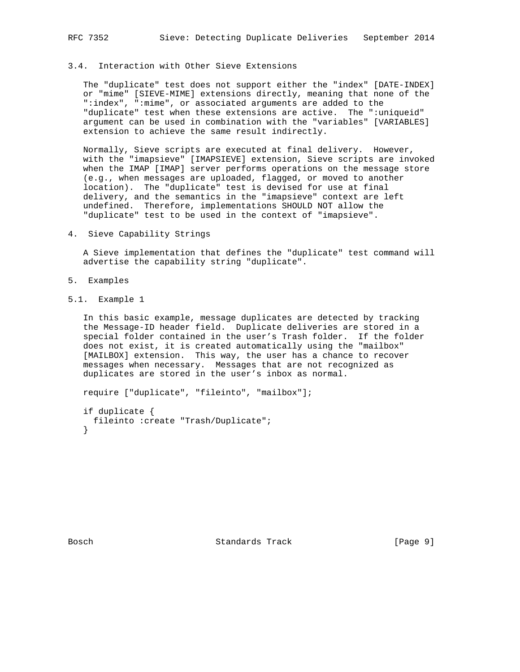## 3.4. Interaction with Other Sieve Extensions

 The "duplicate" test does not support either the "index" [DATE-INDEX] or "mime" [SIEVE-MIME] extensions directly, meaning that none of the ":index", ":mime", or associated arguments are added to the "duplicate" test when these extensions are active. The ":uniqueid" argument can be used in combination with the "variables" [VARIABLES] extension to achieve the same result indirectly.

Normally, Sieve scripts are executed at final delivery. However, with the "imapsieve" [IMAPSIEVE] extension, Sieve scripts are invoked when the IMAP [IMAP] server performs operations on the message store (e.g., when messages are uploaded, flagged, or moved to another location). The "duplicate" test is devised for use at final delivery, and the semantics in the "imapsieve" context are left undefined. Therefore, implementations SHOULD NOT allow the "duplicate" test to be used in the context of "imapsieve".

4. Sieve Capability Strings

 A Sieve implementation that defines the "duplicate" test command will advertise the capability string "duplicate".

- 5. Examples
- 5.1. Example 1

 In this basic example, message duplicates are detected by tracking the Message-ID header field. Duplicate deliveries are stored in a special folder contained in the user's Trash folder. If the folder does not exist, it is created automatically using the "mailbox" [MAILBOX] extension. This way, the user has a chance to recover messages when necessary. Messages that are not recognized as duplicates are stored in the user's inbox as normal.

 require ["duplicate", "fileinto", "mailbox"]; if duplicate {

```
 fileinto :create "Trash/Duplicate";
 }
```
Bosch Standards Track [Page 9]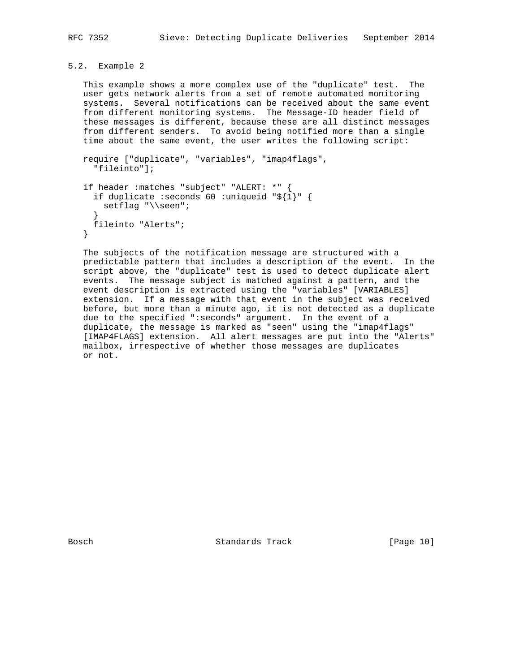# 5.2. Example 2

 This example shows a more complex use of the "duplicate" test. The user gets network alerts from a set of remote automated monitoring systems. Several notifications can be received about the same event from different monitoring systems. The Message-ID header field of these messages is different, because these are all distinct messages from different senders. To avoid being notified more than a single time about the same event, the user writes the following script:

```
 require ["duplicate", "variables", "imap4flags",
     "fileinto"];
   if header :matches "subject" "ALERT: *" {
     if duplicate :seconds 60 :uniqueid "${1}" {
      setflag "\\seen";
 }
     fileinto "Alerts";
   }
```
 The subjects of the notification message are structured with a predictable pattern that includes a description of the event. In the script above, the "duplicate" test is used to detect duplicate alert events. The message subject is matched against a pattern, and the event description is extracted using the "variables" [VARIABLES] extension. If a message with that event in the subject was received before, but more than a minute ago, it is not detected as a duplicate due to the specified ":seconds" argument. In the event of a duplicate, the message is marked as "seen" using the "imap4flags" [IMAP4FLAGS] extension. All alert messages are put into the "Alerts" mailbox, irrespective of whether those messages are duplicates or not.

Bosch Standards Track [Page 10]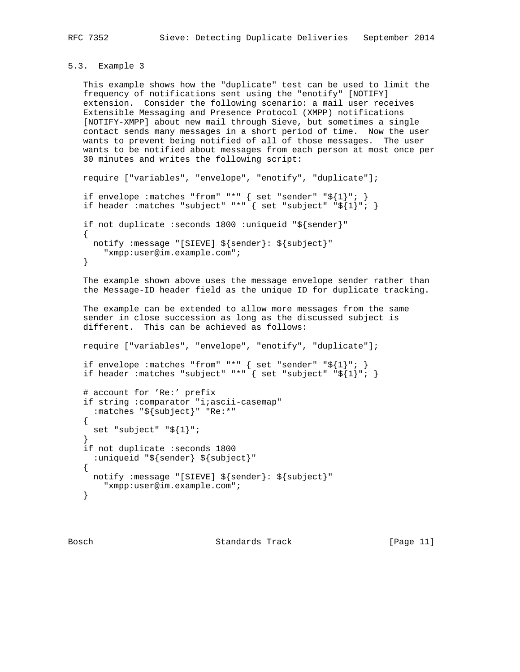```
5.3. Example 3
```
 This example shows how the "duplicate" test can be used to limit the frequency of notifications sent using the "enotify" [NOTIFY] extension. Consider the following scenario: a mail user receives Extensible Messaging and Presence Protocol (XMPP) notifications [NOTIFY-XMPP] about new mail through Sieve, but sometimes a single contact sends many messages in a short period of time. Now the user wants to prevent being notified of all of those messages. The user wants to be notified about messages from each person at most once per 30 minutes and writes the following script:

```
 require ["variables", "envelope", "enotify", "duplicate"];
```

```
 if envelope :matches "from" "*" { set "sender" "${1}"; }
 if header :matches "subject" "*" { set "subject" "${1}"; }
```

```
 if not duplicate :seconds 1800 :uniqueid "${sender}"
\{ \cdot \cdot \cdot \cdot \cdot \cdot \cdot \cdot \cdot \cdot \cdot \cdot \cdot \cdot \cdot \cdot \cdot \cdot \cdot \cdot \cdot \cdot \cdot \cdot \cdot \cdot \cdot \cdot \cdot \cdot \cdot \cdot \cdot \cdot \cdot \cdot 
           notify :message "[SIEVE] ${sender}: ${subject}"
                  "xmpp:user@im.example.com";
        }
```
 The example shown above uses the message envelope sender rather than the Message-ID header field as the unique ID for duplicate tracking.

```
 The example can be extended to allow more messages from the same
 sender in close succession as long as the discussed subject is
 different. This can be achieved as follows:
```
require ["variables", "envelope", "enotify", "duplicate"];

```
 if envelope :matches "from" "*" { set "sender" "${1}"; }
 if header :matches "subject" "*" { set "subject" "${1}"; }
```

```
 # account for 'Re:' prefix
   if string :comparator "i;ascii-casemap"
     :matches "${subject}" "Re:*"
   {
    set "subject" "${1}";
 }
   if not duplicate :seconds 1800
     :uniqueid "${sender} ${subject}"
  \{ notify :message "[SIEVE] ${sender}: ${subject}"
       "xmpp:user@im.example.com";
   }
```
Bosch Standards Track [Page 11]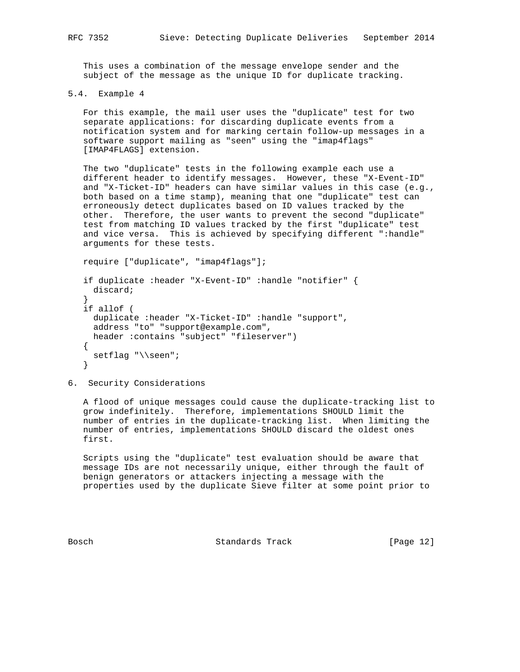This uses a combination of the message envelope sender and the subject of the message as the unique ID for duplicate tracking.

```
5.4. Example 4
```
 For this example, the mail user uses the "duplicate" test for two separate applications: for discarding duplicate events from a notification system and for marking certain follow-up messages in a software support mailing as "seen" using the "imap4flags" [IMAP4FLAGS] extension.

 The two "duplicate" tests in the following example each use a different header to identify messages. However, these "X-Event-ID" and "X-Ticket-ID" headers can have similar values in this case (e.g., both based on a time stamp), meaning that one "duplicate" test can erroneously detect duplicates based on ID values tracked by the other. Therefore, the user wants to prevent the second "duplicate" test from matching ID values tracked by the first "duplicate" test and vice versa. This is achieved by specifying different ":handle" arguments for these tests.

```
 require ["duplicate", "imap4flags"];
   if duplicate :header "X-Event-ID" :handle "notifier" {
     discard;
 }
   if allof (
     duplicate :header "X-Ticket-ID" :handle "support",
     address "to" "support@example.com",
     header :contains "subject" "fileserver")
    {
    setflag "\\seen";
   }
```
6. Security Considerations

 A flood of unique messages could cause the duplicate-tracking list to grow indefinitely. Therefore, implementations SHOULD limit the number of entries in the duplicate-tracking list. When limiting the number of entries, implementations SHOULD discard the oldest ones first.

 Scripts using the "duplicate" test evaluation should be aware that message IDs are not necessarily unique, either through the fault of benign generators or attackers injecting a message with the properties used by the duplicate Sieve filter at some point prior to

Bosch Standards Track [Page 12]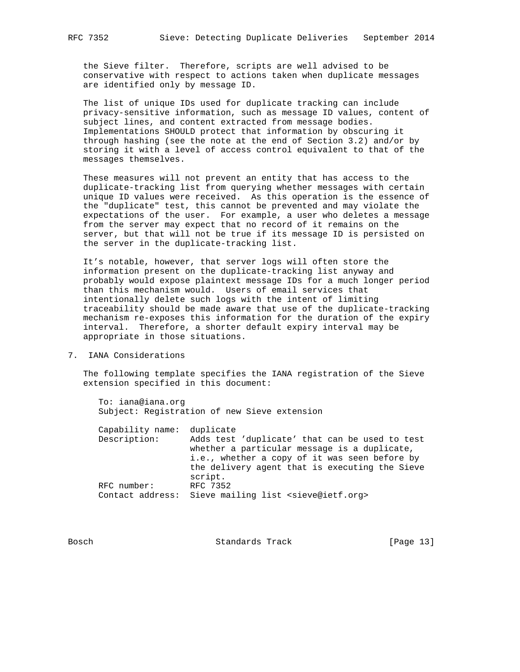the Sieve filter. Therefore, scripts are well advised to be conservative with respect to actions taken when duplicate messages are identified only by message ID.

 The list of unique IDs used for duplicate tracking can include privacy-sensitive information, such as message ID values, content of subject lines, and content extracted from message bodies. Implementations SHOULD protect that information by obscuring it through hashing (see the note at the end of Section 3.2) and/or by storing it with a level of access control equivalent to that of the messages themselves.

 These measures will not prevent an entity that has access to the duplicate-tracking list from querying whether messages with certain unique ID values were received. As this operation is the essence of the "duplicate" test, this cannot be prevented and may violate the expectations of the user. For example, a user who deletes a message from the server may expect that no record of it remains on the server, but that will not be true if its message ID is persisted on the server in the duplicate-tracking list.

 It's notable, however, that server logs will often store the information present on the duplicate-tracking list anyway and probably would expose plaintext message IDs for a much longer period than this mechanism would. Users of email services that intentionally delete such logs with the intent of limiting traceability should be made aware that use of the duplicate-tracking mechanism re-exposes this information for the duration of the expiry interval. Therefore, a shorter default expiry interval may be appropriate in those situations.

7. IANA Considerations

 The following template specifies the IANA registration of the Sieve extension specified in this document:

|  | To: iana@iana.orq                            |  |  |
|--|----------------------------------------------|--|--|
|  | Subject: Registration of new Sieve extension |  |  |

| Capability name: | duplicate                                                             |
|------------------|-----------------------------------------------------------------------|
| Description:     | Adds test 'duplicate' that can be used to test                        |
|                  | whether a particular message is a duplicate,                          |
|                  | i.e., whether a copy of it was seen before by                         |
|                  | the delivery agent that is executing the Sieve                        |
|                  | script.                                                               |
| RFC number:      | RFC 7352                                                              |
|                  | Contact address: Sieve mailing list <sieve@ietf.org></sieve@ietf.org> |
|                  |                                                                       |

Bosch Standards Track [Page 13]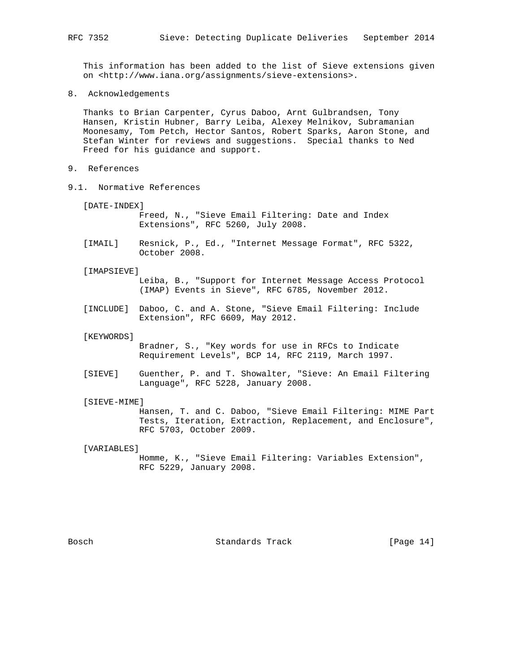This information has been added to the list of Sieve extensions given on <http://www.iana.org/assignments/sieve-extensions>.

8. Acknowledgements

 Thanks to Brian Carpenter, Cyrus Daboo, Arnt Gulbrandsen, Tony Hansen, Kristin Hubner, Barry Leiba, Alexey Melnikov, Subramanian Moonesamy, Tom Petch, Hector Santos, Robert Sparks, Aaron Stone, and Stefan Winter for reviews and suggestions. Special thanks to Ned Freed for his guidance and support.

- 9. References
- 9.1. Normative References
	- [DATE-INDEX]

 Freed, N., "Sieve Email Filtering: Date and Index Extensions", RFC 5260, July 2008.

- [IMAIL] Resnick, P., Ed., "Internet Message Format", RFC 5322, October 2008.
- [IMAPSIEVE]

 Leiba, B., "Support for Internet Message Access Protocol (IMAP) Events in Sieve", RFC 6785, November 2012.

 [INCLUDE] Daboo, C. and A. Stone, "Sieve Email Filtering: Include Extension", RFC 6609, May 2012.

[KEYWORDS]

 Bradner, S., "Key words for use in RFCs to Indicate Requirement Levels", BCP 14, RFC 2119, March 1997.

 [SIEVE] Guenther, P. and T. Showalter, "Sieve: An Email Filtering Language", RFC 5228, January 2008.

## [SIEVE-MIME]

 Hansen, T. and C. Daboo, "Sieve Email Filtering: MIME Part Tests, Iteration, Extraction, Replacement, and Enclosure", RFC 5703, October 2009.

## [VARIABLES]

 Homme, K., "Sieve Email Filtering: Variables Extension", RFC 5229, January 2008.

Bosch Standards Track [Page 14]